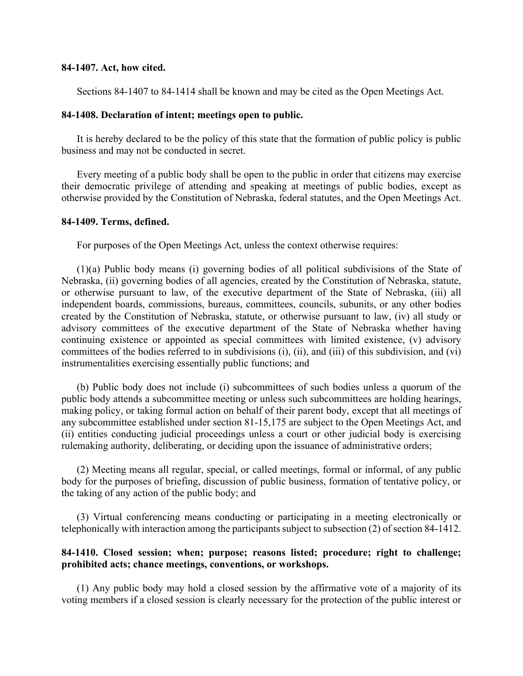#### **84-1407. Act, how cited.**

Sections 84-1407 to 84-1414 shall be known and may be cited as the Open Meetings Act.

#### **84-1408. Declaration of intent; meetings open to public.**

It is hereby declared to be the policy of this state that the formation of public policy is public business and may not be conducted in secret.

Every meeting of a public body shall be open to the public in order that citizens may exercise their democratic privilege of attending and speaking at meetings of public bodies, except as otherwise provided by the Constitution of Nebraska, federal statutes, and the Open Meetings Act.

### **84-1409. Terms, defined.**

For purposes of the Open Meetings Act, unless the context otherwise requires:

(1)(a) Public body means (i) governing bodies of all political subdivisions of the State of Nebraska, (ii) governing bodies of all agencies, created by the Constitution of Nebraska, statute, or otherwise pursuant to law, of the executive department of the State of Nebraska, (iii) all independent boards, commissions, bureaus, committees, councils, subunits, or any other bodies created by the Constitution of Nebraska, statute, or otherwise pursuant to law, (iv) all study or advisory committees of the executive department of the State of Nebraska whether having continuing existence or appointed as special committees with limited existence, (v) advisory committees of the bodies referred to in subdivisions (i), (ii), and (iii) of this subdivision, and (vi) instrumentalities exercising essentially public functions; and

(b) Public body does not include (i) subcommittees of such bodies unless a quorum of the public body attends a subcommittee meeting or unless such subcommittees are holding hearings, making policy, or taking formal action on behalf of their parent body, except that all meetings of any subcommittee established under section 81-15,175 are subject to the Open Meetings Act, and (ii) entities conducting judicial proceedings unless a court or other judicial body is exercising rulemaking authority, deliberating, or deciding upon the issuance of administrative orders;

(2) Meeting means all regular, special, or called meetings, formal or informal, of any public body for the purposes of briefing, discussion of public business, formation of tentative policy, or the taking of any action of the public body; and

(3) Virtual conferencing means conducting or participating in a meeting electronically or telephonically with interaction among the participants subject to subsection (2) of section 84-1412.

# **84-1410. Closed session; when; purpose; reasons listed; procedure; right to challenge; prohibited acts; chance meetings, conventions, or workshops.**

(1) Any public body may hold a closed session by the affirmative vote of a majority of its voting members if a closed session is clearly necessary for the protection of the public interest or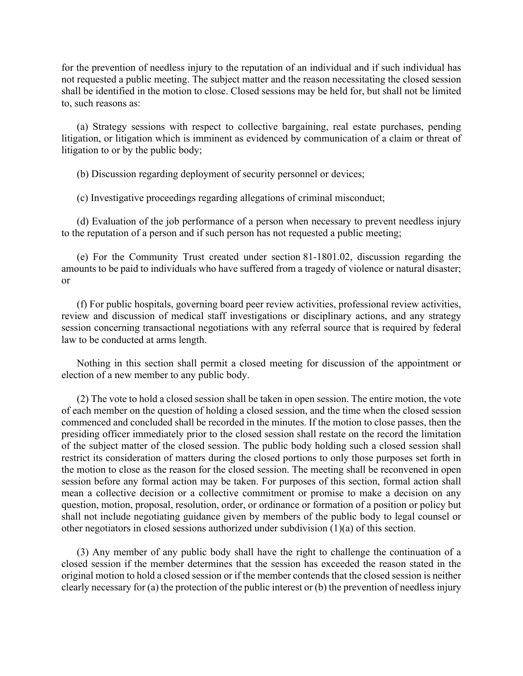for the prevention of needless injury to the reputation of an individual and if such individual has not requested a public meeting. The subject matter and the reason necessitating the closed session shall be identified in the motion to close. Closed sessions may be held for, but shall not be limited to, such reasons as:

(a) Strategy sessions with respect to collective bargaining, real estate purchases, pending litigation, or litigation which is imminent as evidenced by communication of a claim or threat of litigation to or by the public body;

(b) Discussion regarding deployment of security personnel or devices;

(c) Investigative proceedings regarding allegations of criminal misconduct;

(d) Evaluation of the job performance of a person when necessary to prevent needless injury to the reputation of a person and if such person has not requested a public meeting;

(e) For the Community Trust created under section 81-1801.02, discussion regarding the amounts to be paid to individuals who have suffered from a tragedy of violence or natural disaster; or

(f) For public hospitals, governing board peer review activities, professional review activities, review and discussion of medical staff investigations or disciplinary actions, and any strategy session concerning transactional negotiations with any referral source that is required by federal law to be conducted at arms length.

Nothing in this section shall permit a closed meeting for discussion of the appointment or election of a new member to any public body.

(2) The vote to hold a closed session shall be taken in open session. The entire motion, the vote of each member on the question of holding a closed session, and the time when the closed session commenced and concluded shall be recorded in the minutes. If the motion to close passes, then the presiding officer immediately prior to the closed session shall restate on the record the limitation of the subject matter of the closed session. The public body holding such a closed session shall restrict its consideration of matters during the closed portions to only those purposes set forth in the motion to close as the reason for the closed session. The meeting shall be reconvened in open session before any formal action may be taken. For purposes of this section, formal action shall mean a collective decision or a collective commitment or promise to make a decision on any question, motion, proposal, resolution, order, or ordinance or formation of a position or policy but shall not include negotiating guidance given by members of the public body to legal counsel or other negotiators in closed sessions authorized under subdivision (1)(a) of this section.

(3) Any member of any public body shall have the right to challenge the continuation of a closed session if the member determines that the session has exceeded the reason stated in the original motion to hold a closed session or if the member contends that the closed session is neither clearly necessary for (a) the protection of the public interest or (b) the prevention of needless injury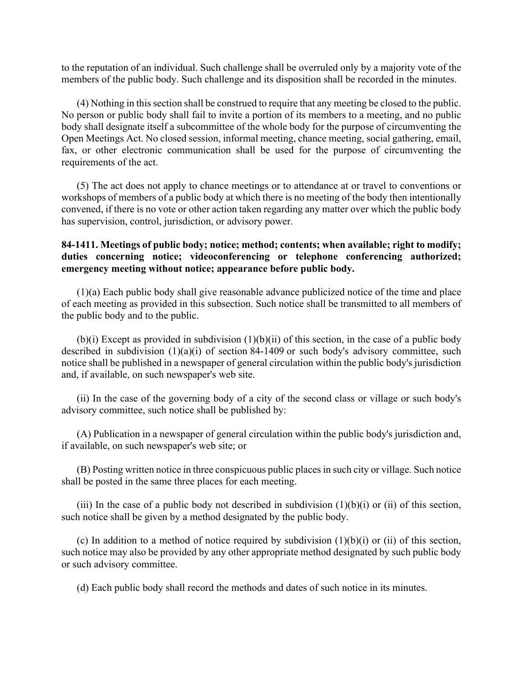to the reputation of an individual. Such challenge shall be overruled only by a majority vote of the members of the public body. Such challenge and its disposition shall be recorded in the minutes.

(4) Nothing in this section shall be construed to require that any meeting be closed to the public. No person or public body shall fail to invite a portion of its members to a meeting, and no public body shall designate itself a subcommittee of the whole body for the purpose of circumventing the Open Meetings Act. No closed session, informal meeting, chance meeting, social gathering, email, fax, or other electronic communication shall be used for the purpose of circumventing the requirements of the act.

(5) The act does not apply to chance meetings or to attendance at or travel to conventions or workshops of members of a public body at which there is no meeting of the body then intentionally convened, if there is no vote or other action taken regarding any matter over which the public body has supervision, control, jurisdiction, or advisory power.

# **84-1411. Meetings of public body; notice; method; contents; when available; right to modify; duties concerning notice; videoconferencing or telephone conferencing authorized; emergency meeting without notice; appearance before public body.**

(1)(a) Each public body shall give reasonable advance publicized notice of the time and place of each meeting as provided in this subsection. Such notice shall be transmitted to all members of the public body and to the public.

 $(b)(i)$  Except as provided in subdivision  $(1)(b)(ii)$  of this section, in the case of a public body described in subdivision (1)(a)(i) of section 84-1409 or such body's advisory committee, such notice shall be published in a newspaper of general circulation within the public body's jurisdiction and, if available, on such newspaper's web site.

(ii) In the case of the governing body of a city of the second class or village or such body's advisory committee, such notice shall be published by:

(A) Publication in a newspaper of general circulation within the public body's jurisdiction and, if available, on such newspaper's web site; or

(B) Posting written notice in three conspicuous public places in such city or village. Such notice shall be posted in the same three places for each meeting.

(iii) In the case of a public body not described in subdivision  $(1)(b)(i)$  or (ii) of this section, such notice shall be given by a method designated by the public body.

(c) In addition to a method of notice required by subdivision  $(1)(b)(i)$  or (ii) of this section, such notice may also be provided by any other appropriate method designated by such public body or such advisory committee.

(d) Each public body shall record the methods and dates of such notice in its minutes.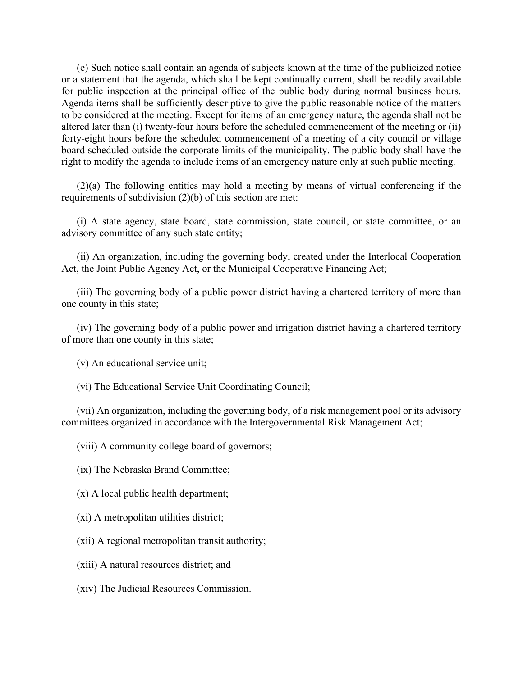(e) Such notice shall contain an agenda of subjects known at the time of the publicized notice or a statement that the agenda, which shall be kept continually current, shall be readily available for public inspection at the principal office of the public body during normal business hours. Agenda items shall be sufficiently descriptive to give the public reasonable notice of the matters to be considered at the meeting. Except for items of an emergency nature, the agenda shall not be altered later than (i) twenty-four hours before the scheduled commencement of the meeting or (ii) forty-eight hours before the scheduled commencement of a meeting of a city council or village board scheduled outside the corporate limits of the municipality. The public body shall have the right to modify the agenda to include items of an emergency nature only at such public meeting.

(2)(a) The following entities may hold a meeting by means of virtual conferencing if the requirements of subdivision (2)(b) of this section are met:

(i) A state agency, state board, state commission, state council, or state committee, or an advisory committee of any such state entity;

(ii) An organization, including the governing body, created under the Interlocal Cooperation Act, the Joint Public Agency Act, or the Municipal Cooperative Financing Act;

(iii) The governing body of a public power district having a chartered territory of more than one county in this state;

(iv) The governing body of a public power and irrigation district having a chartered territory of more than one county in this state;

(v) An educational service unit;

(vi) The Educational Service Unit Coordinating Council;

(vii) An organization, including the governing body, of a risk management pool or its advisory committees organized in accordance with the Intergovernmental Risk Management Act;

(viii) A community college board of governors;

(ix) The Nebraska Brand Committee;

(x) A local public health department;

(xi) A metropolitan utilities district;

(xii) A regional metropolitan transit authority;

(xiii) A natural resources district; and

(xiv) The Judicial Resources Commission.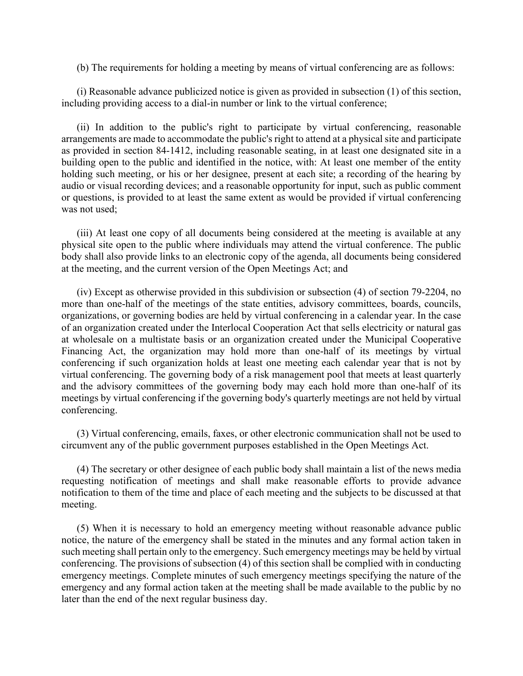(b) The requirements for holding a meeting by means of virtual conferencing are as follows:

(i) Reasonable advance publicized notice is given as provided in subsection (1) of this section, including providing access to a dial-in number or link to the virtual conference;

(ii) In addition to the public's right to participate by virtual conferencing, reasonable arrangements are made to accommodate the public's right to attend at a physical site and participate as provided in section 84-1412, including reasonable seating, in at least one designated site in a building open to the public and identified in the notice, with: At least one member of the entity holding such meeting, or his or her designee, present at each site; a recording of the hearing by audio or visual recording devices; and a reasonable opportunity for input, such as public comment or questions, is provided to at least the same extent as would be provided if virtual conferencing was not used;

(iii) At least one copy of all documents being considered at the meeting is available at any physical site open to the public where individuals may attend the virtual conference. The public body shall also provide links to an electronic copy of the agenda, all documents being considered at the meeting, and the current version of the Open Meetings Act; and

(iv) Except as otherwise provided in this subdivision or subsection (4) of section 79-2204, no more than one-half of the meetings of the state entities, advisory committees, boards, councils, organizations, or governing bodies are held by virtual conferencing in a calendar year. In the case of an organization created under the Interlocal Cooperation Act that sells electricity or natural gas at wholesale on a multistate basis or an organization created under the Municipal Cooperative Financing Act, the organization may hold more than one-half of its meetings by virtual conferencing if such organization holds at least one meeting each calendar year that is not by virtual conferencing. The governing body of a risk management pool that meets at least quarterly and the advisory committees of the governing body may each hold more than one-half of its meetings by virtual conferencing if the governing body's quarterly meetings are not held by virtual conferencing.

(3) Virtual conferencing, emails, faxes, or other electronic communication shall not be used to circumvent any of the public government purposes established in the Open Meetings Act.

(4) The secretary or other designee of each public body shall maintain a list of the news media requesting notification of meetings and shall make reasonable efforts to provide advance notification to them of the time and place of each meeting and the subjects to be discussed at that meeting.

(5) When it is necessary to hold an emergency meeting without reasonable advance public notice, the nature of the emergency shall be stated in the minutes and any formal action taken in such meeting shall pertain only to the emergency. Such emergency meetings may be held by virtual conferencing. The provisions of subsection (4) of this section shall be complied with in conducting emergency meetings. Complete minutes of such emergency meetings specifying the nature of the emergency and any formal action taken at the meeting shall be made available to the public by no later than the end of the next regular business day.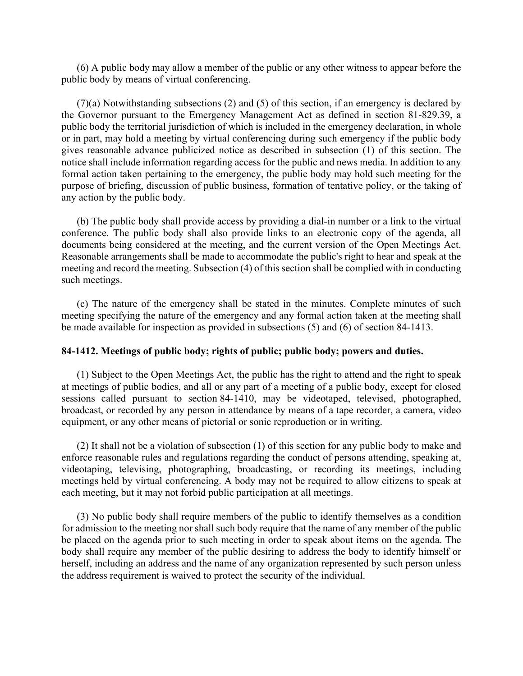(6) A public body may allow a member of the public or any other witness to appear before the public body by means of virtual conferencing.

(7)(a) Notwithstanding subsections (2) and (5) of this section, if an emergency is declared by the Governor pursuant to the Emergency Management Act as defined in section 81-829.39, a public body the territorial jurisdiction of which is included in the emergency declaration, in whole or in part, may hold a meeting by virtual conferencing during such emergency if the public body gives reasonable advance publicized notice as described in subsection (1) of this section. The notice shall include information regarding access for the public and news media. In addition to any formal action taken pertaining to the emergency, the public body may hold such meeting for the purpose of briefing, discussion of public business, formation of tentative policy, or the taking of any action by the public body.

(b) The public body shall provide access by providing a dial-in number or a link to the virtual conference. The public body shall also provide links to an electronic copy of the agenda, all documents being considered at the meeting, and the current version of the Open Meetings Act. Reasonable arrangements shall be made to accommodate the public's right to hear and speak at the meeting and record the meeting. Subsection (4) of this section shall be complied with in conducting such meetings.

(c) The nature of the emergency shall be stated in the minutes. Complete minutes of such meeting specifying the nature of the emergency and any formal action taken at the meeting shall be made available for inspection as provided in subsections (5) and (6) of section 84-1413.

### **84-1412. Meetings of public body; rights of public; public body; powers and duties.**

(1) Subject to the Open Meetings Act, the public has the right to attend and the right to speak at meetings of public bodies, and all or any part of a meeting of a public body, except for closed sessions called pursuant to section 84-1410, may be videotaped, televised, photographed, broadcast, or recorded by any person in attendance by means of a tape recorder, a camera, video equipment, or any other means of pictorial or sonic reproduction or in writing.

(2) It shall not be a violation of subsection (1) of this section for any public body to make and enforce reasonable rules and regulations regarding the conduct of persons attending, speaking at, videotaping, televising, photographing, broadcasting, or recording its meetings, including meetings held by virtual conferencing. A body may not be required to allow citizens to speak at each meeting, but it may not forbid public participation at all meetings.

(3) No public body shall require members of the public to identify themselves as a condition for admission to the meeting nor shall such body require that the name of any member of the public be placed on the agenda prior to such meeting in order to speak about items on the agenda. The body shall require any member of the public desiring to address the body to identify himself or herself, including an address and the name of any organization represented by such person unless the address requirement is waived to protect the security of the individual.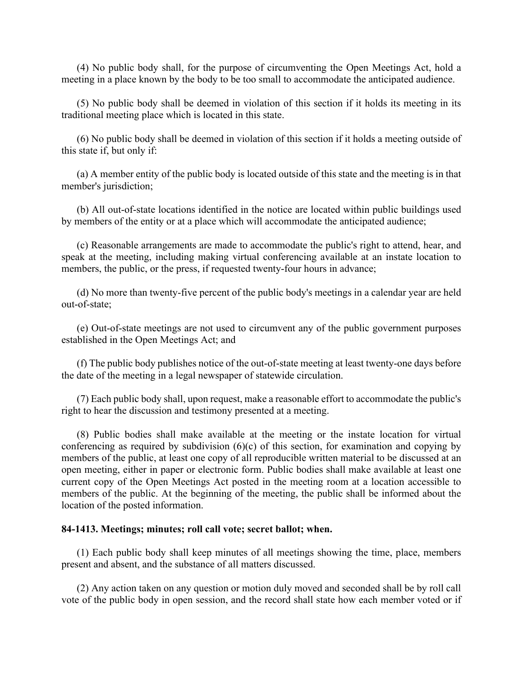(4) No public body shall, for the purpose of circumventing the Open Meetings Act, hold a meeting in a place known by the body to be too small to accommodate the anticipated audience.

(5) No public body shall be deemed in violation of this section if it holds its meeting in its traditional meeting place which is located in this state.

(6) No public body shall be deemed in violation of this section if it holds a meeting outside of this state if, but only if:

(a) A member entity of the public body is located outside of this state and the meeting is in that member's jurisdiction;

(b) All out-of-state locations identified in the notice are located within public buildings used by members of the entity or at a place which will accommodate the anticipated audience;

(c) Reasonable arrangements are made to accommodate the public's right to attend, hear, and speak at the meeting, including making virtual conferencing available at an instate location to members, the public, or the press, if requested twenty-four hours in advance;

(d) No more than twenty-five percent of the public body's meetings in a calendar year are held out-of-state;

(e) Out-of-state meetings are not used to circumvent any of the public government purposes established in the Open Meetings Act; and

(f) The public body publishes notice of the out-of-state meeting at least twenty-one days before the date of the meeting in a legal newspaper of statewide circulation.

(7) Each public body shall, upon request, make a reasonable effort to accommodate the public's right to hear the discussion and testimony presented at a meeting.

(8) Public bodies shall make available at the meeting or the instate location for virtual conferencing as required by subdivision  $(6)(c)$  of this section, for examination and copying by members of the public, at least one copy of all reproducible written material to be discussed at an open meeting, either in paper or electronic form. Public bodies shall make available at least one current copy of the Open Meetings Act posted in the meeting room at a location accessible to members of the public. At the beginning of the meeting, the public shall be informed about the location of the posted information.

#### **84-1413. Meetings; minutes; roll call vote; secret ballot; when.**

(1) Each public body shall keep minutes of all meetings showing the time, place, members present and absent, and the substance of all matters discussed.

(2) Any action taken on any question or motion duly moved and seconded shall be by roll call vote of the public body in open session, and the record shall state how each member voted or if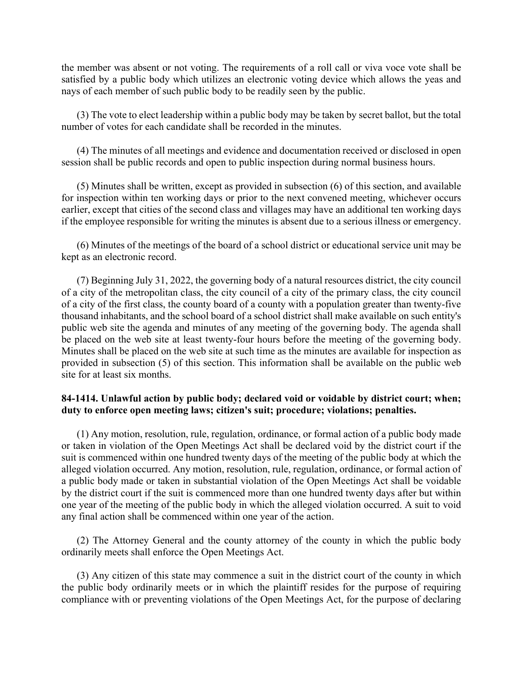the member was absent or not voting. The requirements of a roll call or viva voce vote shall be satisfied by a public body which utilizes an electronic voting device which allows the yeas and nays of each member of such public body to be readily seen by the public.

(3) The vote to elect leadership within a public body may be taken by secret ballot, but the total number of votes for each candidate shall be recorded in the minutes.

(4) The minutes of all meetings and evidence and documentation received or disclosed in open session shall be public records and open to public inspection during normal business hours.

(5) Minutes shall be written, except as provided in subsection (6) of this section, and available for inspection within ten working days or prior to the next convened meeting, whichever occurs earlier, except that cities of the second class and villages may have an additional ten working days if the employee responsible for writing the minutes is absent due to a serious illness or emergency.

(6) Minutes of the meetings of the board of a school district or educational service unit may be kept as an electronic record.

(7) Beginning July 31, 2022, the governing body of a natural resources district, the city council of a city of the metropolitan class, the city council of a city of the primary class, the city council of a city of the first class, the county board of a county with a population greater than twenty-five thousand inhabitants, and the school board of a school district shall make available on such entity's public web site the agenda and minutes of any meeting of the governing body. The agenda shall be placed on the web site at least twenty-four hours before the meeting of the governing body. Minutes shall be placed on the web site at such time as the minutes are available for inspection as provided in subsection (5) of this section. This information shall be available on the public web site for at least six months.

## **84-1414. Unlawful action by public body; declared void or voidable by district court; when; duty to enforce open meeting laws; citizen's suit; procedure; violations; penalties.**

(1) Any motion, resolution, rule, regulation, ordinance, or formal action of a public body made or taken in violation of the Open Meetings Act shall be declared void by the district court if the suit is commenced within one hundred twenty days of the meeting of the public body at which the alleged violation occurred. Any motion, resolution, rule, regulation, ordinance, or formal action of a public body made or taken in substantial violation of the Open Meetings Act shall be voidable by the district court if the suit is commenced more than one hundred twenty days after but within one year of the meeting of the public body in which the alleged violation occurred. A suit to void any final action shall be commenced within one year of the action.

(2) The Attorney General and the county attorney of the county in which the public body ordinarily meets shall enforce the Open Meetings Act.

(3) Any citizen of this state may commence a suit in the district court of the county in which the public body ordinarily meets or in which the plaintiff resides for the purpose of requiring compliance with or preventing violations of the Open Meetings Act, for the purpose of declaring